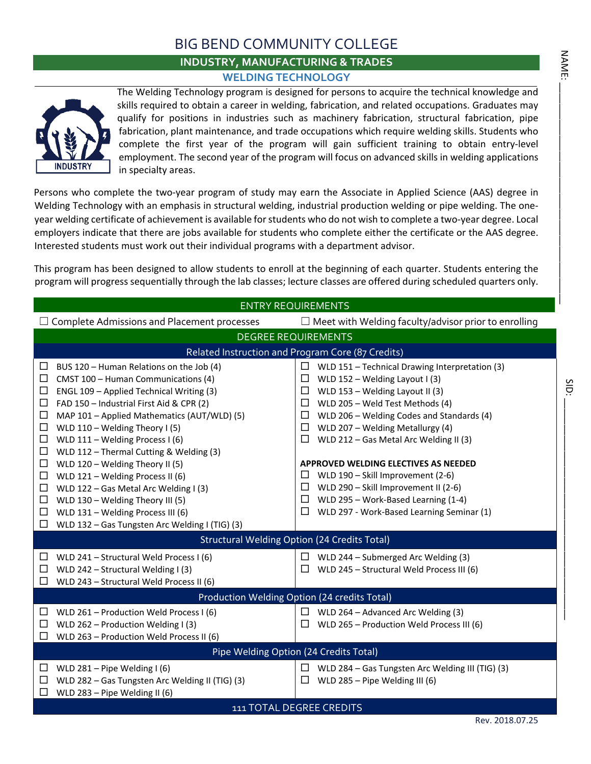### BIG BEND COMMUNITY COLLEGE

### **INDUSTRY, MANUFACTURING & TRADES WELDING TECHNOLOGY**



The Welding Technology program is designed for persons to acquire the technical knowledge and skills required to obtain a career in welding, fabrication, and related occupations. Graduates may qualify for positions in industries such as machinery fabrication, structural fabrication, pipe fabrication, plant maintenance, and trade occupations which require welding skills. Students who complete the first year of the program will gain sufficient training to obtain entry-level employment. The second year of the program will focus on advanced skills in welding applications in specialty areas.

Persons who complete the two-year program of study may earn the Associate in Applied Science (AAS) degree in Welding Technology with an emphasis in structural welding, industrial production welding or pipe welding. The oneyear welding certificate of achievement is available for students who do not wish to complete a two-year degree. Local employers indicate that there are jobs available for students who complete either the certificate or the AAS degree. Interested students must work out their individual programs with a department advisor.

This program has been designed to allow students to enroll at the beginning of each quarter. Students entering the program will progress sequentially through the lab classes; lecture classes are offered during scheduled quarters only.

|                                                                                                                                                                                                                                                                                                                                                                                                                                                                                                                                                                                                                                                                                    | <b>ENTRY REQUIREMENTS</b>                                                                                                                                                                                                                                                                                                                                                                                                                                                                                                                                                  |
|------------------------------------------------------------------------------------------------------------------------------------------------------------------------------------------------------------------------------------------------------------------------------------------------------------------------------------------------------------------------------------------------------------------------------------------------------------------------------------------------------------------------------------------------------------------------------------------------------------------------------------------------------------------------------------|----------------------------------------------------------------------------------------------------------------------------------------------------------------------------------------------------------------------------------------------------------------------------------------------------------------------------------------------------------------------------------------------------------------------------------------------------------------------------------------------------------------------------------------------------------------------------|
| $\Box$ Complete Admissions and Placement processes                                                                                                                                                                                                                                                                                                                                                                                                                                                                                                                                                                                                                                 | $\Box$ Meet with Welding faculty/advisor prior to enrolling                                                                                                                                                                                                                                                                                                                                                                                                                                                                                                                |
|                                                                                                                                                                                                                                                                                                                                                                                                                                                                                                                                                                                                                                                                                    | <b>DEGREE REQUIREMENTS</b>                                                                                                                                                                                                                                                                                                                                                                                                                                                                                                                                                 |
|                                                                                                                                                                                                                                                                                                                                                                                                                                                                                                                                                                                                                                                                                    | Related Instruction and Program Core (87 Credits)                                                                                                                                                                                                                                                                                                                                                                                                                                                                                                                          |
| BUS 120 - Human Relations on the Job (4)<br>□<br>□<br>CMST 100 - Human Communications (4)<br>ENGL 109 - Applied Technical Writing (3)<br>$\Box$<br>□<br>FAD 150 - Industrial First Aid & CPR (2)<br>$\Box$<br>MAP 101 - Applied Mathematics (AUT/WLD) (5)<br>$\Box$<br>WLD 110 - Welding Theory I (5)<br>□<br>WLD $111 -$ Welding Process I (6)<br>WLD 112 - Thermal Cutting & Welding (3)<br>□<br>WLD 120 - Welding Theory II (5)<br>$\Box$<br>WLD 121 - Welding Process II (6)<br>⊔<br>$\Box$<br>WLD 122 - Gas Metal Arc Welding I (3)<br>WLD 130 - Welding Theory III (5)<br>□<br>WLD 131 - Welding Process III (6)<br>□<br>WLD 132 - Gas Tungsten Arc Welding I (TIG) (3)<br>□ | □<br>WLD 151 - Technical Drawing Interpretation (3)<br>WLD $152 - W$ elding Layout I (3)<br>□<br>WLD 153 - Welding Layout II (3)<br>ப<br>WLD 205 - Weld Test Methods (4)<br>□<br>WLD 206 - Welding Codes and Standards (4)<br>$\Box$<br>$\Box$<br>WLD 207 - Welding Metallurgy (4)<br>□<br>WLD 212 - Gas Metal Arc Welding II (3)<br><b>APPROVED WELDING ELECTIVES AS NEEDED</b><br>WLD 190 - Skill Improvement (2-6)<br>ப<br>WLD 290 - Skill Improvement II (2-6)<br>□<br>WLD 295 - Work-Based Learning (1-4)<br>□<br>WLD 297 - Work-Based Learning Seminar (1)<br>$\Box$ |
|                                                                                                                                                                                                                                                                                                                                                                                                                                                                                                                                                                                                                                                                                    | <b>Structural Welding Option (24 Credits Total)</b>                                                                                                                                                                                                                                                                                                                                                                                                                                                                                                                        |
| WLD 241 - Structural Weld Process I (6)<br>□<br>WLD 242 - Structural Welding I (3)<br>ப<br>WLD 243 - Structural Weld Process II (6)<br>□                                                                                                                                                                                                                                                                                                                                                                                                                                                                                                                                           | WLD 244 - Submerged Arc Welding (3)<br>$\Box$<br>WLD 245 - Structural Weld Process III (6)<br>$\mathcal{L}$                                                                                                                                                                                                                                                                                                                                                                                                                                                                |
|                                                                                                                                                                                                                                                                                                                                                                                                                                                                                                                                                                                                                                                                                    | Production Welding Option (24 credits Total)                                                                                                                                                                                                                                                                                                                                                                                                                                                                                                                               |
| WLD 261 - Production Weld Process I (6)<br>$\Box$<br>WLD 262 - Production Welding I (3)<br>□<br>WLD 263 - Production Weld Process II (6)<br>ப                                                                                                                                                                                                                                                                                                                                                                                                                                                                                                                                      | $\Box$ WLD 264 – Advanced Arc Welding (3)<br>WLD 265 - Production Weld Process III (6)<br>ப                                                                                                                                                                                                                                                                                                                                                                                                                                                                                |
|                                                                                                                                                                                                                                                                                                                                                                                                                                                                                                                                                                                                                                                                                    | Pipe Welding Option (24 Credits Total)                                                                                                                                                                                                                                                                                                                                                                                                                                                                                                                                     |
| WLD 281 – Pipe Welding I (6)<br>ப<br>WLD 282 - Gas Tungsten Arc Welding II (TIG) (3)<br>□<br>WLD 283 - Pipe Welding II (6)                                                                                                                                                                                                                                                                                                                                                                                                                                                                                                                                                         | WLD 284 - Gas Tungsten Arc Welding III (TIG) (3)<br>$\Box$<br>WLD 285 - Pipe Welding III (6)<br>ப                                                                                                                                                                                                                                                                                                                                                                                                                                                                          |
|                                                                                                                                                                                                                                                                                                                                                                                                                                                                                                                                                                                                                                                                                    | 111 TOTAL DEGREE CREDITS                                                                                                                                                                                                                                                                                                                                                                                                                                                                                                                                                   |
|                                                                                                                                                                                                                                                                                                                                                                                                                                                                                                                                                                                                                                                                                    |                                                                                                                                                                                                                                                                                                                                                                                                                                                                                                                                                                            |

**NAME:**  $\Delta$ 

SID: \_\_\_\_\_\_\_\_\_\_\_\_\_\_\_\_\_\_\_\_\_\_\_\_\_\_\_\_\_\_\_\_\_\_\_\_\_\_\_\_\_\_

SID: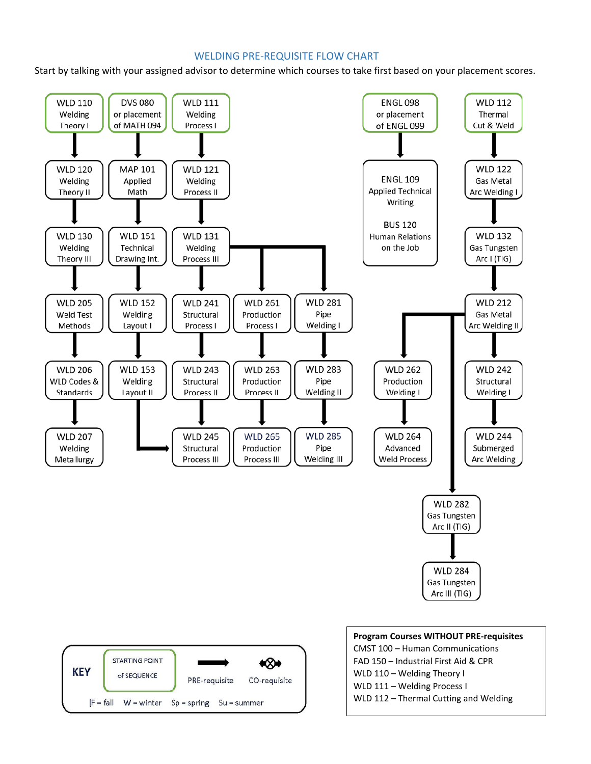### WELDING PRE-REQUISITE FLOW CHART

Start by talking with your assigned advisor to determine which courses to take first based on your placement scores.





| <b>Program Courses WITHOUT PRE-requisites</b> |
|-----------------------------------------------|
| CMST 100 - Human Communications               |
| FAD 150 - Industrial First Aid & CPR          |
| WLD 110 - Welding Theory I                    |
| WLD 111 - Welding Process I                   |
| WLD 112 - Thermal Cutting and Welding         |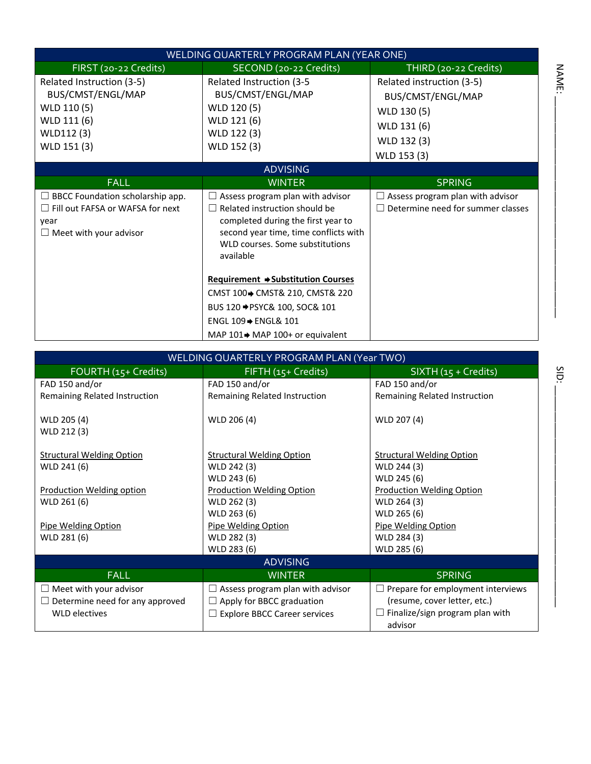|                                                                                                                             | WELDING QUARTERLY PROGRAM PLAN (YEAR ONE)                                                                                                                                                                      |                                                                                             |
|-----------------------------------------------------------------------------------------------------------------------------|----------------------------------------------------------------------------------------------------------------------------------------------------------------------------------------------------------------|---------------------------------------------------------------------------------------------|
| FIRST (20-22 Credits)                                                                                                       | SECOND (20-22 Credits)                                                                                                                                                                                         | THIRD (20-22 Credits)                                                                       |
| Related Instruction (3-5)<br>BUS/CMST/ENGL/MAP<br>WLD 110 (5)<br>WLD 111 (6)<br>WLD112 (3)<br>WLD 151 (3)                   | Related Instruction (3-5<br>BUS/CMST/ENGL/MAP<br>WLD 120 (5)<br>WLD 121 (6)<br>WLD 122 (3)<br>WLD 152 (3)                                                                                                      | Related instruction (3-5)<br>BUS/CMST/ENGL/MAP<br>WLD 130 (5)<br>WLD 131 (6)<br>WLD 132 (3) |
|                                                                                                                             |                                                                                                                                                                                                                | WLD 153 (3)                                                                                 |
|                                                                                                                             | <b>ADVISING</b>                                                                                                                                                                                                |                                                                                             |
| <b>FALL</b>                                                                                                                 | <b>WINTER</b>                                                                                                                                                                                                  | <b>SPRING</b>                                                                               |
| $\Box$ BBCC Foundation scholarship app.<br>$\Box$ Fill out FAFSA or WAFSA for next<br>year<br>$\Box$ Meet with your advisor | $\Box$ Assess program plan with advisor<br>$\Box$ Related instruction should be<br>completed during the first year to<br>second year time, time conflicts with<br>WLD courses. Some substitutions<br>available | Assess program plan with advisor<br>Determine need for summer classes                       |
|                                                                                                                             | <b>Requirement → Substitution Courses</b><br>CMST 100→ CMST& 210, CMST& 220<br>BUS 120 → PSYC& 100, SOC& 101<br>ENGL 109 → ENGL& 101<br>MAP $101 \rightarrow$ MAP $100+$ or equivalent                         |                                                                                             |

|                                        | WELDING QUARTERLY PROGRAM PLAN (Year TWO) |                                                   |
|----------------------------------------|-------------------------------------------|---------------------------------------------------|
| FOURTH (15+ Credits)                   | FIFTH (15+ Credits)                       | $SIXTH(15 + Credits)$                             |
| FAD 150 and/or                         | FAD 150 and/or                            | FAD 150 and/or                                    |
| Remaining Related Instruction          | Remaining Related Instruction             | Remaining Related Instruction                     |
| WLD 205 (4)<br>WLD 212 (3)             | WLD 206 (4)                               | WLD 207 (4)                                       |
| <b>Structural Welding Option</b>       | <b>Structural Welding Option</b>          | <b>Structural Welding Option</b>                  |
| WLD 241 (6)                            | WLD 242 (3)                               | WLD 244 (3)                                       |
|                                        | WLD 243 (6)                               | WLD 245 (6)                                       |
| <b>Production Welding option</b>       | <b>Production Welding Option</b>          | <b>Production Welding Option</b>                  |
| WLD 261 (6)                            | WLD 262 (3)                               | WLD 264 (3)                                       |
|                                        | WLD 263 (6)                               | WLD 265 (6)                                       |
| Pipe Welding Option                    | Pipe Welding Option                       | Pipe Welding Option                               |
| WLD 281 (6)                            | WLD 282 (3)                               | WLD 284 (3)                                       |
|                                        | WLD 283 (6)                               | WLD 285 (6)                                       |
|                                        | <b>ADVISING</b>                           |                                                   |
| <b>FALL</b>                            | <b>WINTER</b>                             | <b>SPRING</b>                                     |
| $\Box$ Meet with your advisor          | $\Box$ Assess program plan with advisor   | $\Box$ Prepare for employment interviews          |
| $\Box$ Determine need for any approved | $\Box$ Apply for BBCC graduation          | (resume, cover letter, etc.)                      |
| <b>WLD electives</b>                   | $\Box$ Explore BBCC Career services       | $\Box$ Finalize/sign program plan with<br>advisor |

SID: \_\_\_\_\_\_\_\_\_\_\_\_\_\_\_\_\_\_\_\_\_\_\_\_\_\_\_\_\_\_\_\_\_\_\_\_\_\_\_\_\_\_ NAME: \_\_\_\_\_\_\_\_\_\_\_\_\_\_\_\_\_\_\_\_\_\_\_\_\_\_\_\_\_\_\_\_\_\_\_\_\_\_\_\_\_\_SID:

NAME: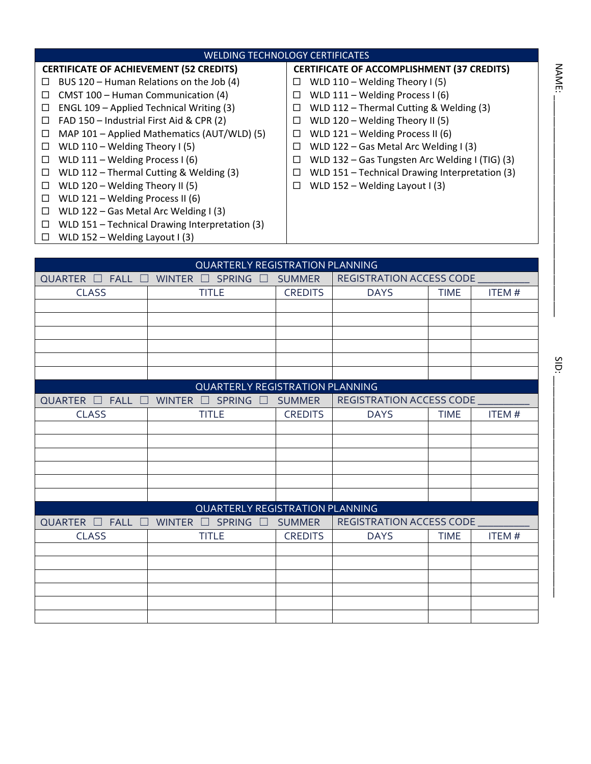|                                                                                                                                                                                                                                                                                                                                                                                                                                                                            | <b>WELDING TECHNOLOGY CERTIFICATES</b>                                                                                                                                               |                                                               |                                                                                                                                                                                                                                                                                                                                                                                                                              |             |              |
|----------------------------------------------------------------------------------------------------------------------------------------------------------------------------------------------------------------------------------------------------------------------------------------------------------------------------------------------------------------------------------------------------------------------------------------------------------------------------|--------------------------------------------------------------------------------------------------------------------------------------------------------------------------------------|---------------------------------------------------------------|------------------------------------------------------------------------------------------------------------------------------------------------------------------------------------------------------------------------------------------------------------------------------------------------------------------------------------------------------------------------------------------------------------------------------|-------------|--------------|
| <b>CERTIFICATE OF ACHIEVEMENT (52 CREDITS)</b><br>ப<br>CMST 100 - Human Communication (4)<br>□<br>ENGL 109 - Applied Technical Writing (3)<br>□<br>FAD 150 - Industrial First Aid & CPR (2)<br>□<br>ப<br>WLD $110 - W$ elding Theory I (5)<br>□<br>WLD 111 - Welding Process I (6)<br>□<br>□<br>WLD 120 - Welding Theory II (5)<br>⊔<br>WLD 121 - Welding Process II (6)<br>□<br>WLD 122 - Gas Metal Arc Welding I (3)<br>□<br>□<br>WLD $152 - W$ elding Layout I (3)<br>⊔ | BUS 120 - Human Relations on the Job (4)<br>MAP 101 - Applied Mathematics (AUT/WLD) (5)<br>WLD 112 - Thermal Cutting & Welding (3)<br>WLD 151 - Technical Drawing Interpretation (3) | □<br>□<br>$\Box$<br>$\Box$<br>□<br>$\Box$<br>$\Box$<br>□<br>□ | <b>CERTIFICATE OF ACCOMPLISHMENT (37 CREDITS)</b><br>WLD $110 -$ Welding Theory I (5)<br>WLD 111 - Welding Process I (6)<br>WLD 112 - Thermal Cutting & Welding (3)<br>WLD 120 - Welding Theory II (5)<br>WLD 121 - Welding Process II (6)<br>WLD 122 - Gas Metal Arc Welding I (3)<br>WLD 132 - Gas Tungsten Arc Welding I (TIG) (3)<br>WLD 151 - Technical Drawing Interpretation (3)<br>WLD $152 - W$ elding Layout I (3) |             | <b>NAME</b>  |
|                                                                                                                                                                                                                                                                                                                                                                                                                                                                            |                                                                                                                                                                                      |                                                               |                                                                                                                                                                                                                                                                                                                                                                                                                              |             |              |
|                                                                                                                                                                                                                                                                                                                                                                                                                                                                            | <b>QUARTERLY REGISTRATION PLANNING</b>                                                                                                                                               |                                                               |                                                                                                                                                                                                                                                                                                                                                                                                                              |             |              |
| <b>QUARTER</b><br><b>FALL</b>                                                                                                                                                                                                                                                                                                                                                                                                                                              | <b>WINTER</b><br><b>SPRING</b>                                                                                                                                                       | <b>SUMMER</b>                                                 | <b>REGISTRATION ACCESS CODE</b>                                                                                                                                                                                                                                                                                                                                                                                              |             |              |
| <b>CLASS</b>                                                                                                                                                                                                                                                                                                                                                                                                                                                               | <b>TITLE</b>                                                                                                                                                                         | <b>CREDITS</b>                                                | <b>DAYS</b>                                                                                                                                                                                                                                                                                                                                                                                                                  | <b>TIME</b> | <b>ITEM#</b> |
|                                                                                                                                                                                                                                                                                                                                                                                                                                                                            |                                                                                                                                                                                      |                                                               |                                                                                                                                                                                                                                                                                                                                                                                                                              |             |              |
|                                                                                                                                                                                                                                                                                                                                                                                                                                                                            |                                                                                                                                                                                      |                                                               |                                                                                                                                                                                                                                                                                                                                                                                                                              |             |              |
|                                                                                                                                                                                                                                                                                                                                                                                                                                                                            |                                                                                                                                                                                      |                                                               |                                                                                                                                                                                                                                                                                                                                                                                                                              |             |              |
|                                                                                                                                                                                                                                                                                                                                                                                                                                                                            |                                                                                                                                                                                      |                                                               |                                                                                                                                                                                                                                                                                                                                                                                                                              |             |              |
|                                                                                                                                                                                                                                                                                                                                                                                                                                                                            |                                                                                                                                                                                      |                                                               |                                                                                                                                                                                                                                                                                                                                                                                                                              |             | SID          |
|                                                                                                                                                                                                                                                                                                                                                                                                                                                                            | <b>QUARTERLY REGISTRATION PLANNING</b>                                                                                                                                               |                                                               |                                                                                                                                                                                                                                                                                                                                                                                                                              |             |              |
| QUARTER $\Box$ FALL $\Box$                                                                                                                                                                                                                                                                                                                                                                                                                                                 | <b>WINTER</b><br>$\square$ SPRING $\square$                                                                                                                                          | <b>SUMMER</b>                                                 | <b>REGISTRATION ACCESS CODE</b>                                                                                                                                                                                                                                                                                                                                                                                              |             |              |
| <b>CLASS</b>                                                                                                                                                                                                                                                                                                                                                                                                                                                               | <b>TITLE</b>                                                                                                                                                                         | <b>CREDITS</b>                                                | <b>DAYS</b>                                                                                                                                                                                                                                                                                                                                                                                                                  | <b>TIME</b> | <b>ITEM#</b> |
|                                                                                                                                                                                                                                                                                                                                                                                                                                                                            |                                                                                                                                                                                      |                                                               |                                                                                                                                                                                                                                                                                                                                                                                                                              |             |              |
|                                                                                                                                                                                                                                                                                                                                                                                                                                                                            |                                                                                                                                                                                      |                                                               |                                                                                                                                                                                                                                                                                                                                                                                                                              |             |              |
|                                                                                                                                                                                                                                                                                                                                                                                                                                                                            |                                                                                                                                                                                      |                                                               |                                                                                                                                                                                                                                                                                                                                                                                                                              |             |              |
|                                                                                                                                                                                                                                                                                                                                                                                                                                                                            |                                                                                                                                                                                      |                                                               |                                                                                                                                                                                                                                                                                                                                                                                                                              |             |              |
|                                                                                                                                                                                                                                                                                                                                                                                                                                                                            |                                                                                                                                                                                      |                                                               |                                                                                                                                                                                                                                                                                                                                                                                                                              |             |              |
|                                                                                                                                                                                                                                                                                                                                                                                                                                                                            |                                                                                                                                                                                      |                                                               |                                                                                                                                                                                                                                                                                                                                                                                                                              |             |              |
|                                                                                                                                                                                                                                                                                                                                                                                                                                                                            | <b>QUARTERLY REGISTRATION PLANNING</b>                                                                                                                                               |                                                               |                                                                                                                                                                                                                                                                                                                                                                                                                              |             |              |
| QUARTER $\Box$ FALL $\Box$                                                                                                                                                                                                                                                                                                                                                                                                                                                 | WINTER $\square$ SPRING $\square$                                                                                                                                                    | SUMMER                                                        | <b>REGISTRATION ACCESS CODE</b>                                                                                                                                                                                                                                                                                                                                                                                              |             |              |
| <b>CLASS</b>                                                                                                                                                                                                                                                                                                                                                                                                                                                               | <b>TITLE</b>                                                                                                                                                                         | <b>CREDITS</b>                                                | <b>DAYS</b>                                                                                                                                                                                                                                                                                                                                                                                                                  | <b>TIME</b> | <b>ITEM#</b> |
|                                                                                                                                                                                                                                                                                                                                                                                                                                                                            |                                                                                                                                                                                      |                                                               |                                                                                                                                                                                                                                                                                                                                                                                                                              |             |              |
|                                                                                                                                                                                                                                                                                                                                                                                                                                                                            |                                                                                                                                                                                      |                                                               |                                                                                                                                                                                                                                                                                                                                                                                                                              |             |              |
|                                                                                                                                                                                                                                                                                                                                                                                                                                                                            |                                                                                                                                                                                      |                                                               |                                                                                                                                                                                                                                                                                                                                                                                                                              |             |              |
|                                                                                                                                                                                                                                                                                                                                                                                                                                                                            |                                                                                                                                                                                      |                                                               |                                                                                                                                                                                                                                                                                                                                                                                                                              |             |              |

|                                      | <b>QUARTERLY REGISTRATION PLANNING</b>                 |                |                                 |             |              |
|--------------------------------------|--------------------------------------------------------|----------------|---------------------------------|-------------|--------------|
|                                      | QUARTER $\Box$ FALL $\Box$ WINTER $\Box$ SPRING $\Box$ | <b>SUMMER</b>  | REGISTRATION ACCESS CODE        |             |              |
| <b>CLASS</b>                         | <b>TITLE</b>                                           | <b>CREDITS</b> | <b>DAYS</b>                     | <b>TIME</b> | <b>ITEM#</b> |
|                                      |                                                        |                |                                 |             |              |
|                                      |                                                        |                |                                 |             |              |
|                                      |                                                        |                |                                 |             |              |
|                                      |                                                        |                |                                 |             |              |
|                                      |                                                        |                |                                 |             |              |
|                                      |                                                        |                |                                 |             |              |
|                                      | <b>QUARTERLY REGISTRATION PLANNING</b>                 |                |                                 |             |              |
| $\Box$ FALL $\Box$<br><b>QUARTER</b> | WINTER $\square$ SPRING $\square$                      | <b>SUMMER</b>  | REGISTRATION ACCESS CODE        |             |              |
| <b>CLASS</b>                         | <b>TITLE</b>                                           | <b>CREDITS</b> | <b>DAYS</b>                     | <b>TIME</b> | <b>ITEM#</b> |
|                                      |                                                        |                |                                 |             |              |
|                                      |                                                        |                |                                 |             |              |
|                                      |                                                        |                |                                 |             |              |
|                                      |                                                        |                |                                 |             |              |
|                                      |                                                        |                |                                 |             |              |
|                                      |                                                        |                |                                 |             |              |
|                                      | <b>QUARTERLY REGISTRATION PLANNING</b>                 |                |                                 |             |              |
| <b>QUARTER</b><br>$\Box$ FALL $\Box$ | WINTER $\square$ SPRING $\square$                      | <b>SUMMER</b>  | <b>REGISTRATION ACCESS CODE</b> |             |              |
| <b>CLASS</b>                         | <b>TITLE</b>                                           | <b>CREDITS</b> | <b>DAYS</b>                     | <b>TIME</b> | ITEM #       |
|                                      |                                                        |                |                                 |             |              |
|                                      |                                                        |                |                                 |             |              |
|                                      |                                                        |                |                                 |             |              |
|                                      |                                                        |                |                                 |             |              |
|                                      |                                                        |                |                                 |             |              |
|                                      |                                                        |                |                                 |             |              |

SID: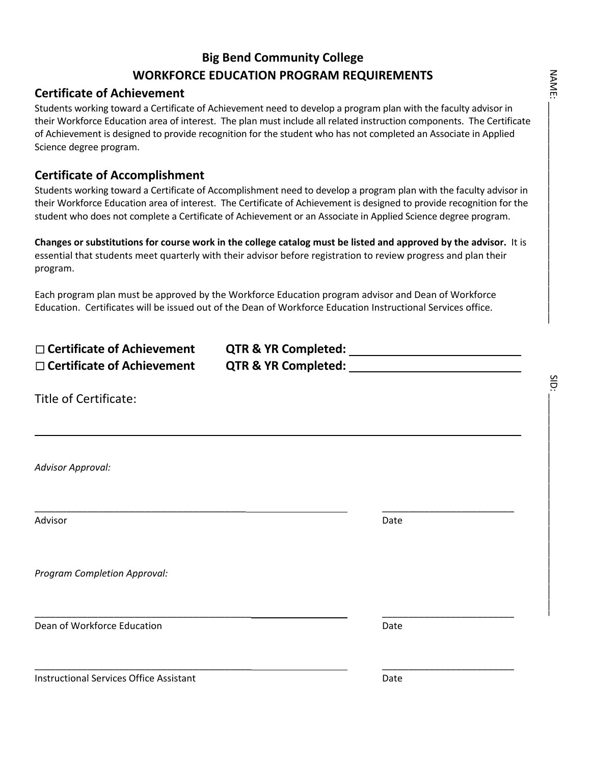### **Big Bend Community College WORKFORCE EDUCATION PROGRAM REQUIREMENTS**

### **Certificate of Achievement**

Students working toward a Certificate of Achievement need to develop a program plan with the faculty advisor in their Workforce Education area of interest. The plan must include all related instruction components. The Certificate of Achievement is designed to provide recognition for the student who has not completed an Associate in Applied Science degree program.

### **Certificate of Accomplishment**

Students working toward a Certificate of Accomplishment need to develop a program plan with the faculty advisor in their Workforce Education area of interest. The Certificate of Achievement is designed to provide recognition for the student who does not complete a Certificate of Achievement or an Associate in Applied Science degree program.

**Changes or substitutions for course work in the college catalog must be listed and approved by the advisor.** It is essential that students meet quarterly with their advisor before registration to review progress and plan their program.

Each program plan must be approved by the Workforce Education program advisor and Dean of Workforce Education. Certificates will be issued out of the Dean of Workforce Education Instructional Services office.

| $\Box$ Certificate of Achievement | <b>QTR &amp; YR Completed:</b> |  |
|-----------------------------------|--------------------------------|--|
| $\Box$ Certificate of Achievement | <b>QTR &amp; YR Completed:</b> |  |

\_\_\_\_\_\_\_\_\_\_\_\_\_\_\_\_\_\_\_\_\_\_\_\_\_\_\_\_\_\_\_\_\_\_\_\_\_\_\_\_\_ \_\_\_\_\_\_\_\_\_\_\_\_\_\_\_\_\_\_\_\_\_\_\_\_\_

Title of Certificate:

*Advisor Approval:*

Advisor **Date** 

L

*Program Completion Approval:*

**Dean of Workforce Education** Date **Date Communist Communist Communist Communist Communist Communist Communist Communist Communist Communist Communist Communist Communist Communist Communist Communist Communist Communist C** 

\_\_\_\_\_\_\_\_\_\_\_\_\_\_\_\_\_\_\_\_\_\_\_\_\_\_\_\_\_\_\_\_\_\_\_\_\_\_\_\_ \_\_\_\_\_\_\_\_\_\_\_\_\_\_\_\_\_\_\_\_\_\_\_\_\_

**Instructional Services Office Assistant Communist Communist Communist Communist Communist Communist Communist Communist Communist Communist Communist Communist Communist Communist Communist Communist Communist Communist C** 

\_\_\_\_\_\_\_\_\_\_\_\_\_\_\_\_\_\_\_\_\_\_\_\_\_\_\_\_\_\_\_\_\_\_\_\_\_\_\_\_\_ \_\_\_\_\_\_\_\_\_\_\_\_\_\_\_\_\_\_\_\_\_\_\_\_\_

SID: